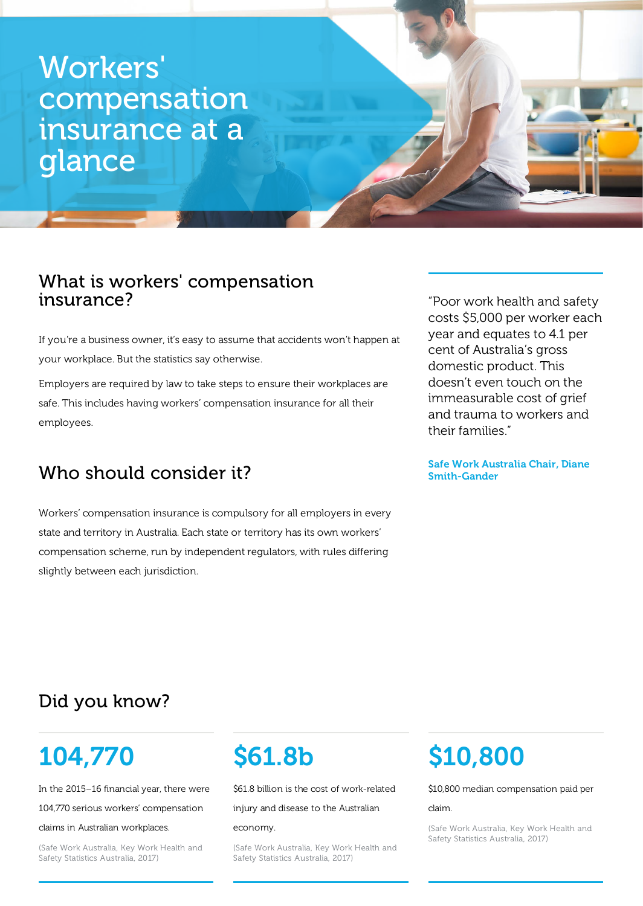## Workers 'compensation insurance at a glance

### What is workers' compensation insurance?

If you're a business owner, it's easy to assume that accidents won't happen at your workplace. But the statistics say otherwise.

Employers are required by law to take steps to ensure their workplaces are safe. This includes having workers' compensation insurance for all their employees.

## Who should consider it?

Workers' compensation insurance is compulsory for all employers in every state and territory in Australia. Each state or territory has its own workers' compensation scheme, run by independent regulators, with rules differing slightly between each jurisdiction.

"Poor work health and safety costs \$5,000 per worker each year and equates to 4.1 per cent of Australia's gross domestic product. This doesn't even touch on the immeasurable cost of grief and trauma to workers and their families."

#### Safe Work Australia Chair, Diane Smith-Gander

## Did you know?

## 104,770

In the 2015–16 financial year, there were

104,770 serious workers' compensation

#### claims in Australian workplaces.

(Safe Work Australia, Key Work Health and Safety Statistics Australia, 2017)

# \$61.8b

\$61.8 billion is the cost of work-related

injury and disease to the Australian

#### economy.

(Safe Work Australia, Key Work Health and Safety Statistics Australia, 2017)

## \$10,800

\$10,800 median compensation paid per

#### claim.

(Safe Work Australia, Key Work Health and Safety Statistics Australia, 2017)